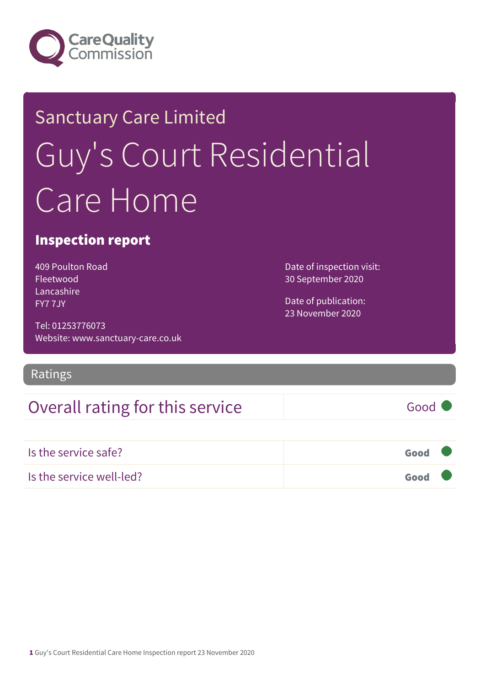

# Sanctuary Care Limited Guy's Court Residential Care Home

### Inspection report

409 Poulton Road Fleetwood Lancashire FY7 7JY

Tel: 01253776073 Website: www.sanctuary-care.co.uk

Ratings

## Overall rating for this service Good

Is the service safe? Good Is the service well-led? Good

Date of inspection visit: 30 September 2020

Date of publication: 23 November 2020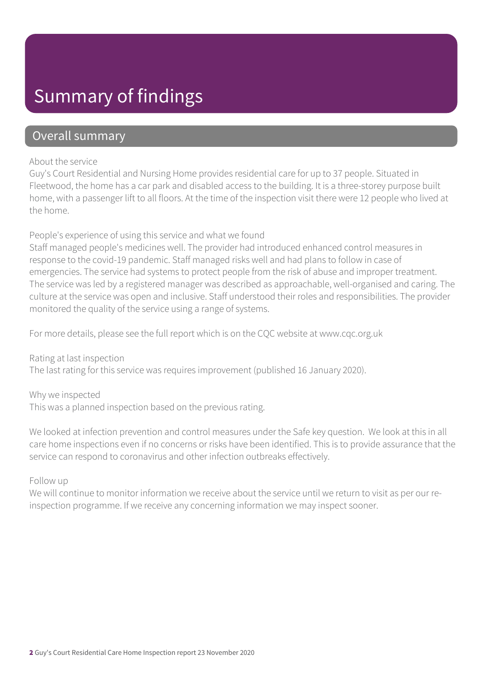## Summary of findings

### Overall summary

#### About the service

Guy's Court Residential and Nursing Home provides residential care for up to 37 people. Situated in Fleetwood, the home has a car park and disabled access to the building. It is a three-storey purpose built home, with a passenger lift to all floors. At the time of the inspection visit there were 12 people who lived at the home.

#### People's experience of using this service and what we found

Staff managed people's medicines well. The provider had introduced enhanced control measures in response to the covid-19 pandemic. Staff managed risks well and had plans to follow in case of emergencies. The service had systems to protect people from the risk of abuse and improper treatment. The service was led by a registered manager was described as approachable, well-organised and caring. The culture at the service was open and inclusive. Staff understood their roles and responsibilities. The provider monitored the quality of the service using a range of systems.

For more details, please see the full report which is on the CQC website at www.cqc.org.uk

Rating at last inspection The last rating for this service was requires improvement (published 16 January 2020).

Why we inspected This was a planned inspection based on the previous rating.

We looked at infection prevention and control measures under the Safe key question. We look at this in all care home inspections even if no concerns or risks have been identified. This is to provide assurance that the service can respond to coronavirus and other infection outbreaks effectively.

#### Follow up

We will continue to monitor information we receive about the service until we return to visit as per our reinspection programme. If we receive any concerning information we may inspect sooner.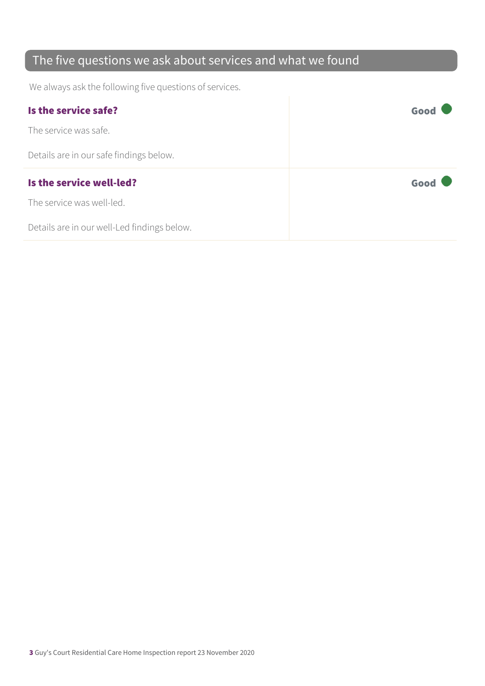## The five questions we ask about services and what we found

We always ask the following five questions of services.

| Is the service safe?                    | Good |
|-----------------------------------------|------|
| The service was safe.                   |      |
| Details are in our safe findings below. |      |
|                                         |      |
| Is the service well-led?                | Good |
| The service was well-led.               |      |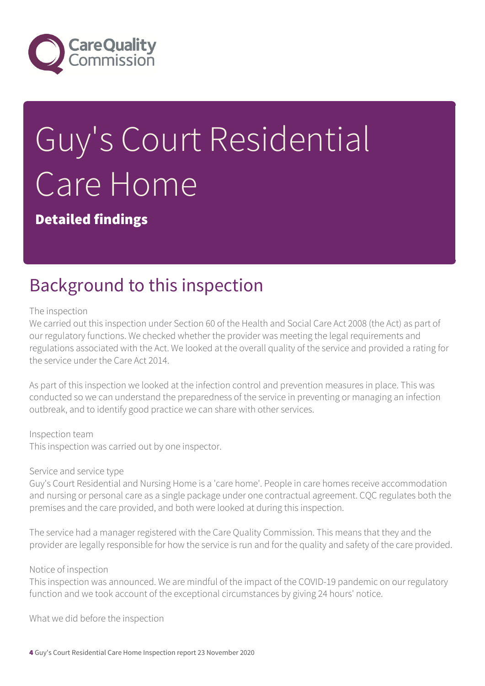

# Guy's Court Residential Care Home

Detailed findings

## Background to this inspection

#### The inspection

We carried out this inspection under Section 60 of the Health and Social Care Act 2008 (the Act) as part of our regulatory functions. We checked whether the provider was meeting the legal requirements and regulations associated with the Act. We looked at the overall quality of the service and provided a rating for the service under the Care Act 2014.

As part of this inspection we looked at the infection control and prevention measures in place. This was conducted so we can understand the preparedness of the service in preventing or managing an infection outbreak, and to identify good practice we can share with other services.

#### Inspection team

This inspection was carried out by one inspector.

#### Service and service type

Guy's Court Residential and Nursing Home is a 'care home'. People in care homes receive accommodation and nursing or personal care as a single package under one contractual agreement. CQC regulates both the premises and the care provided, and both were looked at during this inspection.

The service had a manager registered with the Care Quality Commission. This means that they and the provider are legally responsible for how the service is run and for the quality and safety of the care provided.

#### Notice of inspection

This inspection was announced. We are mindful of the impact of the COVID-19 pandemic on our regulatory function and we took account of the exceptional circumstances by giving 24 hours' notice.

What we did before the inspection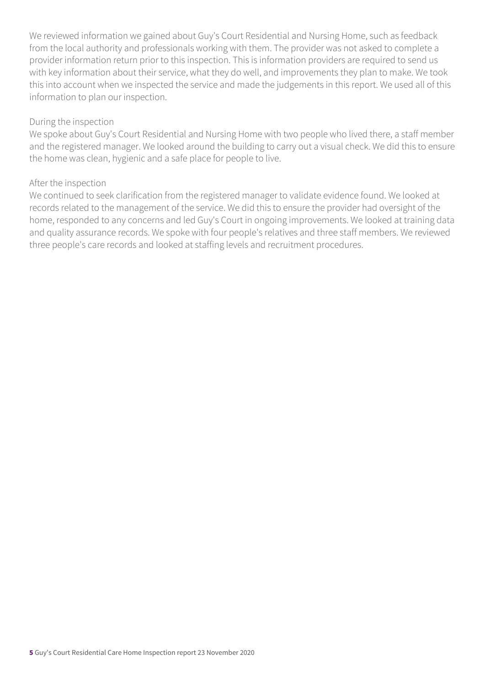We reviewed information we gained about Guy's Court Residential and Nursing Home, such as feedback from the local authority and professionals working with them. The provider was not asked to complete a provider information return prior to this inspection. This is information providers are required to send us with key information about their service, what they do well, and improvements they plan to make. We took this into account when we inspected the service and made the judgements in this report. We used all of this information to plan our inspection.

#### During the inspection

We spoke about Guy's Court Residential and Nursing Home with two people who lived there, a staff member and the registered manager. We looked around the building to carry out a visual check. We did this to ensure the home was clean, hygienic and a safe place for people to live.

#### After the inspection

We continued to seek clarification from the registered manager to validate evidence found. We looked at records related to the management of the service. We did this to ensure the provider had oversight of the home, responded to any concerns and led Guy's Court in ongoing improvements. We looked at training data and quality assurance records. We spoke with four people's relatives and three staff members. We reviewed three people's care records and looked at staffing levels and recruitment procedures.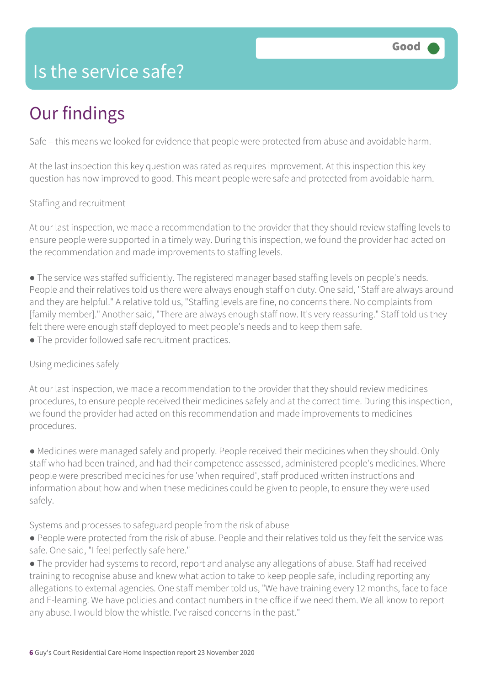## Is the service safe?

# Our findings

Safe – this means we looked for evidence that people were protected from abuse and avoidable harm.

At the last inspection this key question was rated as requires improvement. At this inspection this key question has now improved to good. This meant people were safe and protected from avoidable harm.

Staffing and recruitment

At our last inspection, we made a recommendation to the provider that they should review staffing levels to ensure people were supported in a timely way. During this inspection, we found the provider had acted on the recommendation and made improvements to staffing levels.

● The service was staffed sufficiently. The registered manager based staffing levels on people's needs. People and their relatives told us there were always enough staff on duty. One said, "Staff are always around and they are helpful." A relative told us, "Staffing levels are fine, no concerns there. No complaints from [family member]." Another said, "There are always enough staff now. It's very reassuring." Staff told us they felt there were enough staff deployed to meet people's needs and to keep them safe.

• The provider followed safe recruitment practices.

Using medicines safely

At our last inspection, we made a recommendation to the provider that they should review medicines procedures, to ensure people received their medicines safely and at the correct time. During this inspection, we found the provider had acted on this recommendation and made improvements to medicines procedures.

● Medicines were managed safely and properly. People received their medicines when they should. Only staff who had been trained, and had their competence assessed, administered people's medicines. Where people were prescribed medicines for use 'when required', staff produced written instructions and information about how and when these medicines could be given to people, to ensure they were used safely.

Systems and processes to safeguard people from the risk of abuse

● People were protected from the risk of abuse. People and their relatives told us they felt the service was safe. One said, "I feel perfectly safe here."

● The provider had systems to record, report and analyse any allegations of abuse. Staff had received training to recognise abuse and knew what action to take to keep people safe, including reporting any allegations to external agencies. One staff member told us, "We have training every 12 months, face to face and E-learning. We have policies and contact numbers in the office if we need them. We all know to report any abuse. I would blow the whistle. I've raised concerns in the past."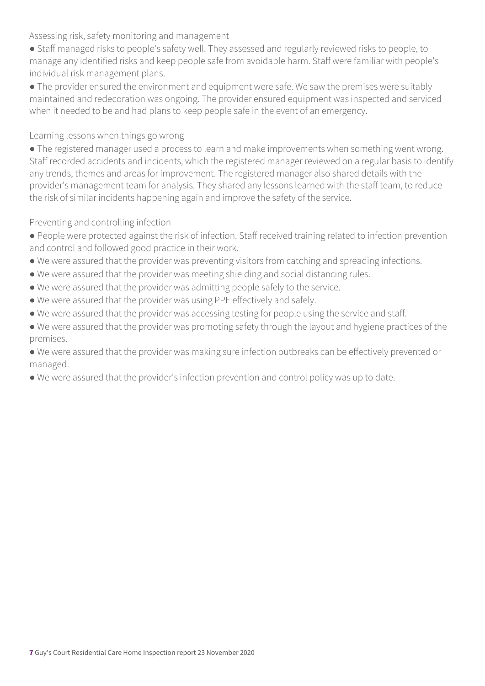Assessing risk, safety monitoring and management

- Staff managed risks to people's safety well. They assessed and regularly reviewed risks to people, to manage any identified risks and keep people safe from avoidable harm. Staff were familiar with people's individual risk management plans.
- The provider ensured the environment and equipment were safe. We saw the premises were suitably maintained and redecoration was ongoing. The provider ensured equipment was inspected and serviced when it needed to be and had plans to keep people safe in the event of an emergency.

Learning lessons when things go wrong

● The registered manager used a process to learn and make improvements when something went wrong. Staff recorded accidents and incidents, which the registered manager reviewed on a regular basis to identify any trends, themes and areas for improvement. The registered manager also shared details with the provider's management team for analysis. They shared any lessons learned with the staff team, to reduce the risk of similar incidents happening again and improve the safety of the service.

Preventing and controlling infection

- People were protected against the risk of infection. Staff received training related to infection prevention and control and followed good practice in their work.
- We were assured that the provider was preventing visitors from catching and spreading infections.
- We were assured that the provider was meeting shielding and social distancing rules.
- We were assured that the provider was admitting people safely to the service.
- We were assured that the provider was using PPE effectively and safely.
- We were assured that the provider was accessing testing for people using the service and staff.
- We were assured that the provider was promoting safety through the layout and hygiene practices of the premises.

● We were assured that the provider was making sure infection outbreaks can be effectively prevented or managed.

● We were assured that the provider's infection prevention and control policy was up to date.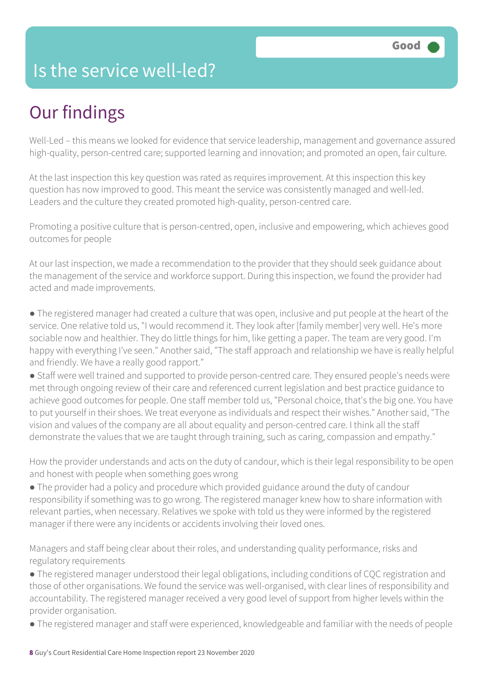## Is the service well-led?

# Our findings

Well-Led – this means we looked for evidence that service leadership, management and governance assured high-quality, person-centred care; supported learning and innovation; and promoted an open, fair culture.

At the last inspection this key question was rated as requires improvement. At this inspection this key question has now improved to good. This meant the service was consistently managed and well-led. Leaders and the culture they created promoted high-quality, person-centred care.

Promoting a positive culture that is person-centred, open, inclusive and empowering, which achieves good outcomes for people

At our last inspection, we made a recommendation to the provider that they should seek guidance about the management of the service and workforce support. During this inspection, we found the provider had acted and made improvements.

● The registered manager had created a culture that was open, inclusive and put people at the heart of the service. One relative told us, "I would recommend it. They look after [family member] very well. He's more sociable now and healthier. They do little things for him, like getting a paper. The team are very good. I'm happy with everything I've seen." Another said, "The staff approach and relationship we have is really helpful and friendly. We have a really good rapport."

● Staff were well trained and supported to provide person-centred care. They ensured people's needs were met through ongoing review of their care and referenced current legislation and best practice guidance to achieve good outcomes for people. One staff member told us, "Personal choice, that's the big one. You have to put yourself in their shoes. We treat everyone as individuals and respect their wishes." Another said, "The vision and values of the company are all about equality and person-centred care. I think all the staff demonstrate the values that we are taught through training, such as caring, compassion and empathy."

How the provider understands and acts on the duty of candour, which is their legal responsibility to be open and honest with people when something goes wrong

● The provider had a policy and procedure which provided guidance around the duty of candour responsibility if something was to go wrong. The registered manager knew how to share information with relevant parties, when necessary. Relatives we spoke with told us they were informed by the registered manager if there were any incidents or accidents involving their loved ones.

Managers and staff being clear about their roles, and understanding quality performance, risks and regulatory requirements

● The registered manager understood their legal obligations, including conditions of CQC registration and those of other organisations. We found the service was well-organised, with clear lines of responsibility and accountability. The registered manager received a very good level of support from higher levels within the provider organisation.

● The registered manager and staff were experienced, knowledgeable and familiar with the needs of people